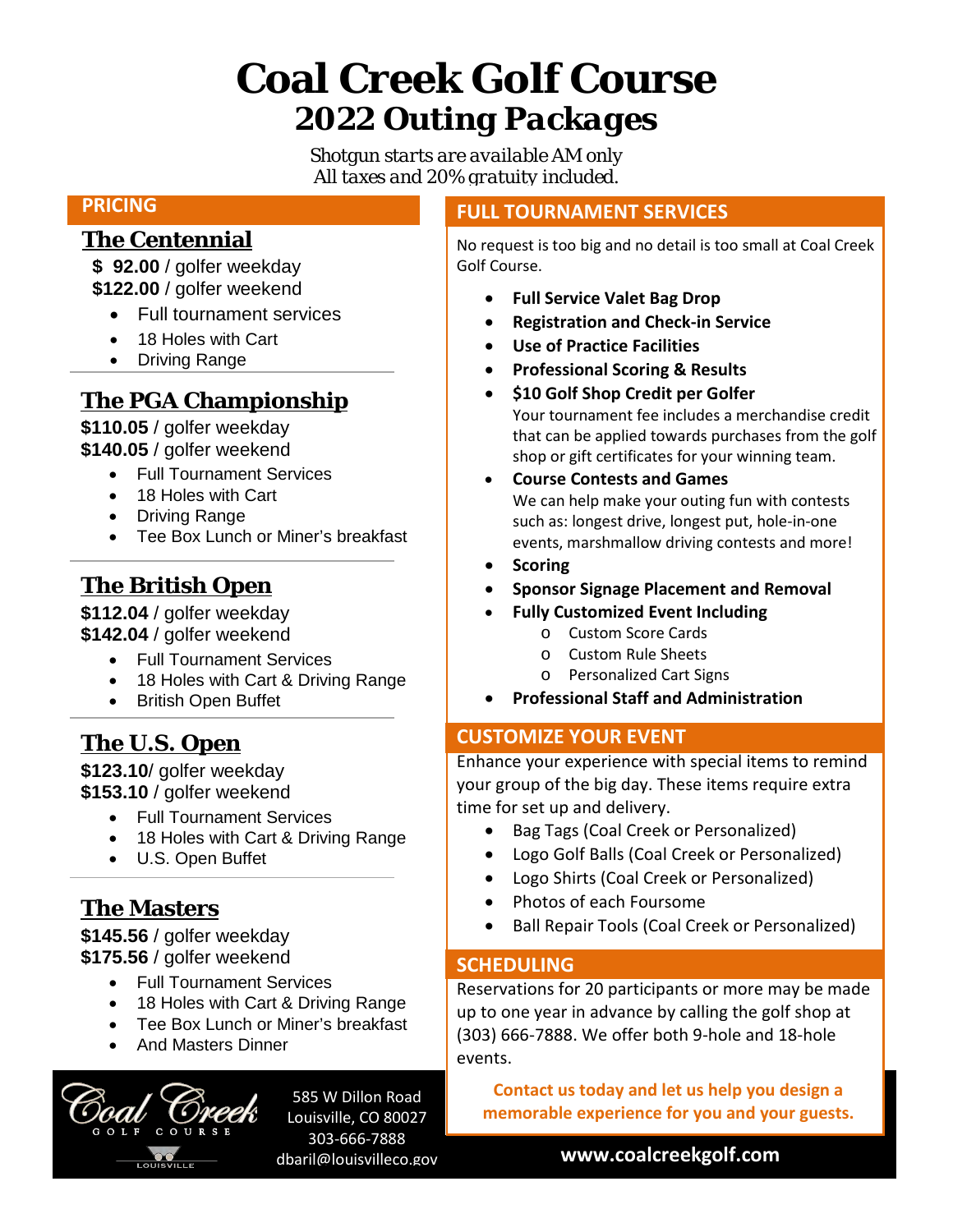# **Coal Creek Golf Course** *2022 Outing Packages*

*Shotgun starts are available AM only All taxes and 20% gratuity included.*

### **PRICING**

## **The Centennial**

 **\$ 92.00** / golfer weekday  **\$122.00** / golfer weekend

- Full tournament services
- 18 Holes with Cart
- Driving Range

# **The PGA Championship**

**\$110.05** / golfer weekday **\$140.05** / golfer weekend

- Full Tournament Services
- 18 Holes with Cart
- Driving Range
- Tee Box Lunch or Miner's breakfast

# **The British Open**

**\$112.04** / golfer weekday **\$142.04** / golfer weekend

- Full Tournament Services
- 18 Holes with Cart & Driving Range
- British Open Buffet

## **The U.S. Open**

**\$123.10**/ golfer weekday **\$153.10** / golfer weekend

- Full Tournament Services
- 18 Holes with Cart & Driving Range
- U.S. Open Buffet

# **The Masters**

**\$145.56** / golfer weekday **\$175.56** / golfer weekend

- Full Tournament Services
- 18 Holes with Cart & Driving Range
- Tee Box Lunch or Miner's breakfast
- And Masters Dinner



585 W Dillon Road Louisville, CO 80027 303-666-7888 dbaril@louisvilleco.gov

#### **FULL TOURNAMENT SERVICES**

No request is too big and no detail is too small at Coal Creek Golf Course.

- **Full Service Valet Bag Drop**
- **Registration and Check-in Service**
- **Use of Practice Facilities**
- **Professional Scoring & Results**
- **\$10 Golf Shop Credit per Golfer** Your tournament fee includes a merchandise credit that can be applied towards purchases from the golf shop or gift certificates for your winning team.
- **Course Contests and Games** We can help make your outing fun with contests such as: longest drive, longest put, hole-in-one events, marshmallow driving contests and more!
- **Scoring**
- **Sponsor Signage Placement and Removal**
	- **Fully Customized Event Including**
		- o Custom Score Cards
		- o Custom Rule Sheets
		- o Personalized Cart Signs
- **Professional Staff and Administration**

#### **CUSTOMIZE YOUR EVENT**

Enhance your experience with special items to remind your group of the big day. These items require extra time for set up and delivery.

- Bag Tags (Coal Creek or Personalized)
- Logo Golf Balls (Coal Creek or Personalized)
- Logo Shirts (Coal Creek or Personalized)
- Photos of each Foursome
- Ball Repair Tools (Coal Creek or Personalized)

#### **SCHEDULING**

Reservations for 20 participants or more may be made up to one year in advance by calling the golf shop at (303) 666-7888. We offer both 9-hole and 18-hole events.

**Contact us today and let us help you design a memorable experience for you and your guests.**

**www.coalcreekgolf.com**